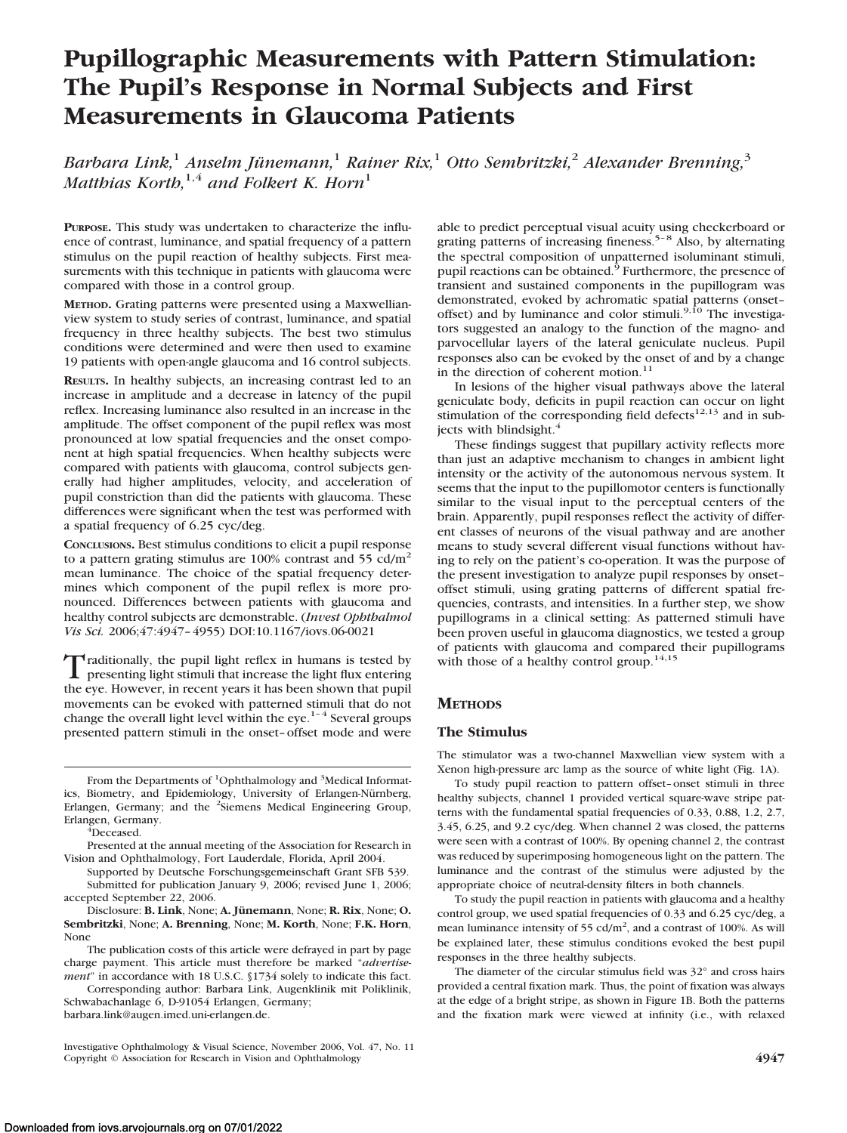# **Pupillographic Measurements with Pattern Stimulation: The Pupil's Response in Normal Subjects and First Measurements in Glaucoma Patients**

*Barbara Link,*<sup>1</sup> *Anselm Ju¨nemann,*<sup>1</sup> *Rainer Rix,*<sup>1</sup> *Otto Sembritzki,*<sup>2</sup> *Alexander Brenning,*<sup>3</sup> *Matthias Korth*,<sup>1,4</sup> *and Folkert K. Horn*<sup>1</sup>

**PURPOSE.** This study was undertaken to characterize the influence of contrast, luminance, and spatial frequency of a pattern stimulus on the pupil reaction of healthy subjects. First measurements with this technique in patients with glaucoma were compared with those in a control group.

**METHOD.** Grating patterns were presented using a Maxwellianview system to study series of contrast, luminance, and spatial frequency in three healthy subjects. The best two stimulus conditions were determined and were then used to examine 19 patients with open-angle glaucoma and 16 control subjects.

**RESULTS.** In healthy subjects, an increasing contrast led to an increase in amplitude and a decrease in latency of the pupil reflex. Increasing luminance also resulted in an increase in the amplitude. The offset component of the pupil reflex was most pronounced at low spatial frequencies and the onset component at high spatial frequencies. When healthy subjects were compared with patients with glaucoma, control subjects generally had higher amplitudes, velocity, and acceleration of pupil constriction than did the patients with glaucoma. These differences were significant when the test was performed with a spatial frequency of 6.25 cyc/deg.

**CONCLUSIONS.** Best stimulus conditions to elicit a pupil response to a pattern grating stimulus are  $100\%$  contrast and  $55$  cd/m<sup>2</sup> mean luminance. The choice of the spatial frequency determines which component of the pupil reflex is more pronounced. Differences between patients with glaucoma and healthy control subjects are demonstrable. (*Invest Ophthalmol Vis Sci.* 2006;47:4947– 4955) DOI:10.1167/iovs.06-0021

Traditionally, the pupil light reflex in humans is tested by presenting light stimuli that increase the light flux entering the eye. However, in recent years it has been shown that pupil movements can be evoked with patterned stimuli that do not change the overall light level within the eye.<sup>1-4</sup> Several groups presented pattern stimuli in the onset– offset mode and were

From the Departments of <sup>1</sup>Ophthalmology and <sup>3</sup>Medical Informatics, Biometry, and Epidemiology, University of Erlangen-Nürnberg, Erlangen, Germany; and the <sup>2</sup>Siemens Medical Engineering Group, Erlangen, Germany. <sup>4</sup>

 ${}^4$ Deceased.

Presented at the annual meeting of the Association for Research in Vision and Ophthalmology, Fort Lauderdale, Florida, April 2004.

Supported by Deutsche Forschungsgemeinschaft Grant SFB 539. Submitted for publication January 9, 2006; revised June 1, 2006; accepted September 22, 2006.

Disclosure: **B. Link**, None; **A. Jünemann**, None; **R. Rix**, None; **O. Sembritzki**, None; **A. Brenning**, None; **M. Korth**, None; **F.K. Horn**, None

The publication costs of this article were defrayed in part by page charge payment. This article must therefore be marked "*advertisement*" in accordance with 18 U.S.C. §1734 solely to indicate this fact.

Corresponding author: Barbara Link, Augenklinik mit Poliklinik, Schwabachanlage 6, D-91054 Erlangen, Germany; barbara.link@augen.imed.uni-erlangen.de.

Investigative Ophthalmology & Visual Science, November 2006, Vol. 47, No. 11 Copyright © Association for Research in Vision and Ophthalmology **4947**

able to predict perceptual visual acuity using checkerboard or grating patterns of increasing fineness.<sup>5-8</sup> Also, by alternating the spectral composition of unpatterned isoluminant stimuli, pupil reactions can be obtained. $\frac{5}{9}$  Furthermore, the presence of transient and sustained components in the pupillogram was demonstrated, evoked by achromatic spatial patterns (onset-<br>offset) and by luminance and color stimuli.<sup>9,10</sup> The investigators suggested an analogy to the function of the magno- and parvocellular layers of the lateral geniculate nucleus. Pupil responses also can be evoked by the onset of and by a change in the direction of coherent motion.<sup>11</sup>

In lesions of the higher visual pathways above the lateral geniculate body, deficits in pupil reaction can occur on light stimulation of the corresponding field defects<sup>12,13</sup> and in subjects with blindsight. $4$ 

These findings suggest that pupillary activity reflects more than just an adaptive mechanism to changes in ambient light intensity or the activity of the autonomous nervous system. It seems that the input to the pupillomotor centers is functionally similar to the visual input to the perceptual centers of the brain. Apparently, pupil responses reflect the activity of different classes of neurons of the visual pathway and are another means to study several different visual functions without having to rely on the patient's co-operation. It was the purpose of the present investigation to analyze pupil responses by onset– offset stimuli, using grating patterns of different spatial frequencies, contrasts, and intensities. In a further step, we show pupillograms in a clinical setting: As patterned stimuli have been proven useful in glaucoma diagnostics, we tested a group of patients with glaucoma and compared their pupillograms with those of a healthy control group.<sup>14,15</sup>

# **METHODS**

## **The Stimulus**

The stimulator was a two-channel Maxwellian view system with a Xenon high-pressure arc lamp as the source of white light (Fig. 1A).

To study pupil reaction to pattern offset– onset stimuli in three healthy subjects, channel 1 provided vertical square-wave stripe patterns with the fundamental spatial frequencies of 0.33, 0.88, 1.2, 2.7, 3.45, 6.25, and 9.2 cyc/deg. When channel 2 was closed, the patterns were seen with a contrast of 100%. By opening channel 2, the contrast was reduced by superimposing homogeneous light on the pattern. The luminance and the contrast of the stimulus were adjusted by the appropriate choice of neutral-density filters in both channels.

To study the pupil reaction in patients with glaucoma and a healthy control group, we used spatial frequencies of 0.33 and 6.25 cyc/deg, a mean luminance intensity of 55 cd/m<sup>2</sup>, and a contrast of 100%. As will be explained later, these stimulus conditions evoked the best pupil responses in the three healthy subjects.

The diameter of the circular stimulus field was 32° and cross hairs provided a central fixation mark. Thus, the point of fixation was always at the edge of a bright stripe, as shown in Figure 1B. Both the patterns and the fixation mark were viewed at infinity (i.e., with relaxed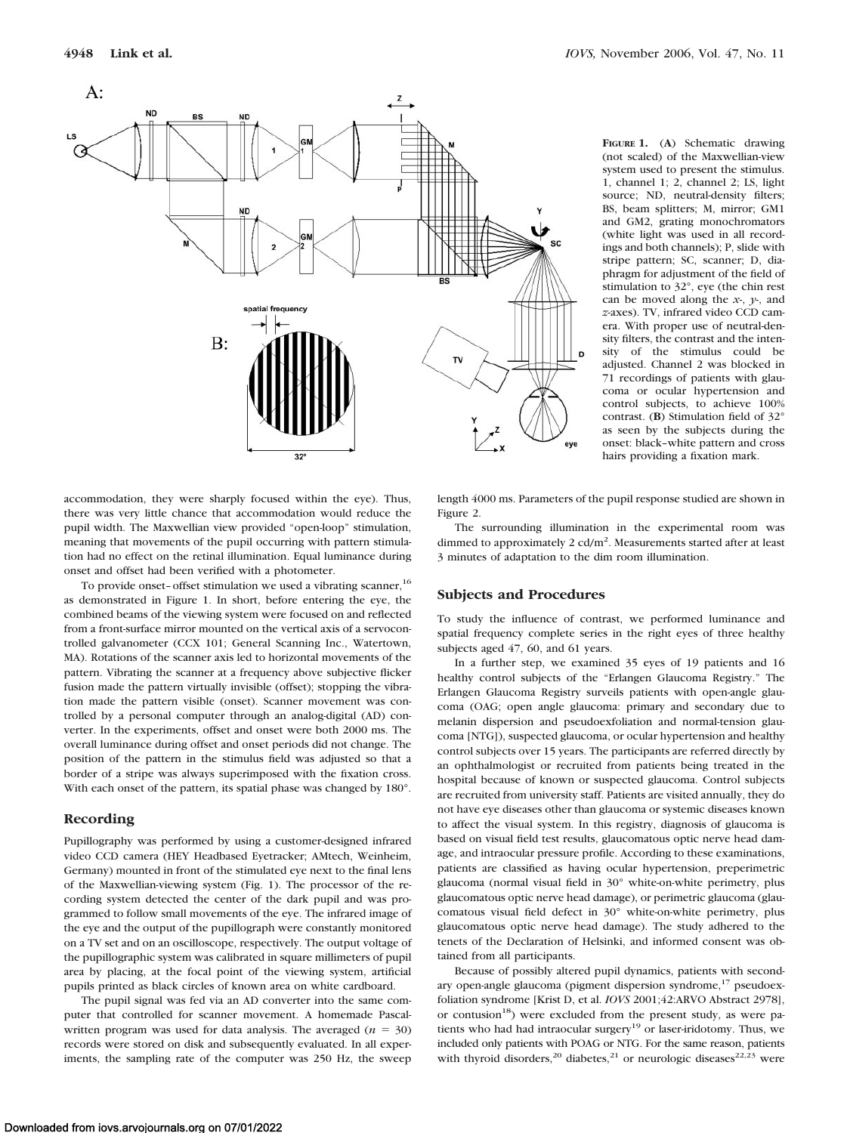

**FIGURE 1.** (**A**) Schematic drawing (not scaled) of the Maxwellian-view system used to present the stimulus. 1, channel 1; 2, channel 2; LS, light source; ND, neutral-density filters; BS, beam splitters; M, mirror; GM1 and GM2, grating monochromators (white light was used in all recordings and both channels); P, slide with stripe pattern; SC, scanner; D, diaphragm for adjustment of the field of stimulation to 32°, eye (the chin rest can be moved along the *x-*, *y-*, and *z*-axes). TV, infrared video CCD camera. With proper use of neutral-density filters, the contrast and the intensity of the stimulus could be adjusted. Channel 2 was blocked in 71 recordings of patients with glaucoma or ocular hypertension and control subjects, to achieve 100% contrast. (**B**) Stimulation field of 32° as seen by the subjects during the onset: black–white pattern and cross hairs providing a fixation mark.

accommodation, they were sharply focused within the eye). Thus, there was very little chance that accommodation would reduce the pupil width. The Maxwellian view provided "open-loop" stimulation, meaning that movements of the pupil occurring with pattern stimulation had no effect on the retinal illumination. Equal luminance during onset and offset had been verified with a photometer.

To provide onset- offset stimulation we used a vibrating scanner, <sup>16</sup> as demonstrated in Figure 1. In short, before entering the eye, the combined beams of the viewing system were focused on and reflected from a front-surface mirror mounted on the vertical axis of a servocontrolled galvanometer (CCX 101; General Scanning Inc., Watertown, MA). Rotations of the scanner axis led to horizontal movements of the pattern. Vibrating the scanner at a frequency above subjective flicker fusion made the pattern virtually invisible (offset); stopping the vibration made the pattern visible (onset). Scanner movement was controlled by a personal computer through an analog-digital (AD) converter. In the experiments, offset and onset were both 2000 ms. The overall luminance during offset and onset periods did not change. The position of the pattern in the stimulus field was adjusted so that a border of a stripe was always superimposed with the fixation cross. With each onset of the pattern, its spatial phase was changed by 180°.

## **Recording**

Pupillography was performed by using a customer-designed infrared video CCD camera (HEY Headbased Eyetracker; AMtech, Weinheim, Germany) mounted in front of the stimulated eye next to the final lens of the Maxwellian-viewing system (Fig. 1). The processor of the recording system detected the center of the dark pupil and was programmed to follow small movements of the eye. The infrared image of the eye and the output of the pupillograph were constantly monitored on a TV set and on an oscilloscope, respectively. The output voltage of the pupillographic system was calibrated in square millimeters of pupil area by placing, at the focal point of the viewing system, artificial pupils printed as black circles of known area on white cardboard.

The pupil signal was fed via an AD converter into the same computer that controlled for scanner movement. A homemade Pascalwritten program was used for data analysis. The averaged  $(n = 30)$ records were stored on disk and subsequently evaluated. In all experiments, the sampling rate of the computer was 250 Hz, the sweep length 4000 ms. Parameters of the pupil response studied are shown in Figure 2.

The surrounding illumination in the experimental room was dimmed to approximately  $2 \text{ cd/m}^2$ . Measurements started after at least 3 minutes of adaptation to the dim room illumination.

#### **Subjects and Procedures**

To study the influence of contrast, we performed luminance and spatial frequency complete series in the right eyes of three healthy subjects aged 47, 60, and 61 years.

In a further step, we examined 35 eyes of 19 patients and 16 healthy control subjects of the "Erlangen Glaucoma Registry." The Erlangen Glaucoma Registry surveils patients with open-angle glaucoma (OAG; open angle glaucoma: primary and secondary due to melanin dispersion and pseudoexfoliation and normal-tension glaucoma [NTG]), suspected glaucoma, or ocular hypertension and healthy control subjects over 15 years. The participants are referred directly by an ophthalmologist or recruited from patients being treated in the hospital because of known or suspected glaucoma. Control subjects are recruited from university staff. Patients are visited annually, they do not have eye diseases other than glaucoma or systemic diseases known to affect the visual system. In this registry, diagnosis of glaucoma is based on visual field test results, glaucomatous optic nerve head damage, and intraocular pressure profile. According to these examinations, patients are classified as having ocular hypertension, preperimetric glaucoma (normal visual field in 30° white-on-white perimetry, plus glaucomatous optic nerve head damage), or perimetric glaucoma (glaucomatous visual field defect in 30° white-on-white perimetry, plus glaucomatous optic nerve head damage). The study adhered to the tenets of the Declaration of Helsinki, and informed consent was obtained from all participants.

Because of possibly altered pupil dynamics, patients with secondary open-angle glaucoma (pigment dispersion syndrome,<sup>17</sup> pseudoexfoliation syndrome [Krist D, et al. *IOVS* 2001;42:ARVO Abstract 2978], or contusion<sup>18</sup>) were excluded from the present study, as were patients who had had intraocular surgery<sup>19</sup> or laser-iridotomy. Thus, we included only patients with POAG or NTG. For the same reason, patients with thyroid disorders,<sup>20</sup> diabetes,<sup>21</sup> or neurologic diseases<sup>22,23</sup> were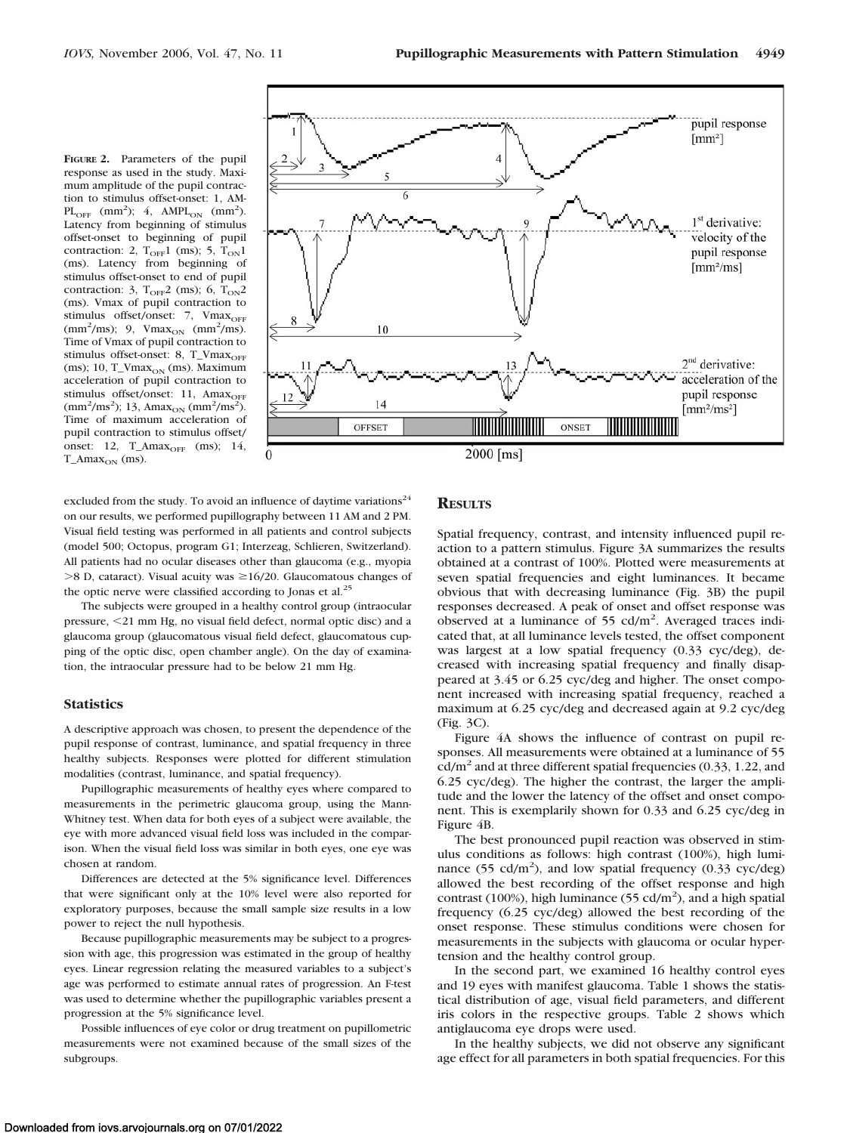**FIGURE 2.** Parameters of the pupil response as used in the study. Maximum amplitude of the pupil contraction to stimulus offset-onset: 1, AM- $PL<sub>OFF</sub>$  (mm<sup>2</sup>); 4, AMPL<sub>ON</sub> (mm<sup>2</sup>). Latency from beginning of stimulus offset-onset to beginning of pupil contraction: 2,  $T_{\text{OFF}}1$  (ms); 5,  $T_{\text{ON}}1$ (ms). Latency from beginning of stimulus offset-onset to end of pupil contraction: 3,  $T_{\text{OFF}}$ 2 (ms); 6,  $T_{\text{ON}}$ 2 (ms). Vmax of pupil contraction to stimulus offset/onset: 7, Vmax<sub>OFF</sub>  $\text{(mm}^2/\text{ms})$ ; 9,  $\text{Vmax}_{\text{ON}}$   $\text{(mm}^2/\text{ms})$ . Time of Vmax of pupil contraction to stimulus offset-onset: 8, T\_Vmax<sub>OFF</sub> (ms); 10,  $T_V$ max $_{ON}$  (ms). Maximum acceleration of pupil contraction to stimulus offset/onset: 11, Amax<sub>OFF</sub>  $\text{(mm}^2/\text{ms}^2)$ ; 13, Amax<sub>ON</sub>  $\text{(mm}^2/\text{ms}^2)$ ). Time of maximum acceleration of pupil contraction to stimulus offset/ onset:  $12$ , T\_Ama $x_{\text{OFF}}$  (ms);  $14$ ,  $T_\text{max}$  (ms).



excluded from the study. To avoid an influence of daytime variations<sup>24</sup> on our results, we performed pupillography between 11 AM and 2 PM. Visual field testing was performed in all patients and control subjects (model 500; Octopus, program G1; Interzeag, Schlieren, Switzerland). All patients had no ocular diseases other than glaucoma (e.g., myopia  $>8$  D, cataract). Visual acuity was  $\geq 16/20$ . Glaucomatous changes of the optic nerve were classified according to Jonas et al.<sup>25</sup>

The subjects were grouped in a healthy control group (intraocular pressure, 21 mm Hg, no visual field defect, normal optic disc) and a glaucoma group (glaucomatous visual field defect, glaucomatous cupping of the optic disc, open chamber angle). On the day of examination, the intraocular pressure had to be below 21 mm Hg.

#### **Statistics**

A descriptive approach was chosen, to present the dependence of the pupil response of contrast, luminance, and spatial frequency in three healthy subjects. Responses were plotted for different stimulation modalities (contrast, luminance, and spatial frequency).

Pupillographic measurements of healthy eyes where compared to measurements in the perimetric glaucoma group, using the Mann-Whitney test. When data for both eyes of a subject were available, the eye with more advanced visual field loss was included in the comparison. When the visual field loss was similar in both eyes, one eye was chosen at random.

Differences are detected at the 5% significance level. Differences that were significant only at the 10% level were also reported for exploratory purposes, because the small sample size results in a low power to reject the null hypothesis.

Because pupillographic measurements may be subject to a progression with age, this progression was estimated in the group of healthy eyes. Linear regression relating the measured variables to a subject's age was performed to estimate annual rates of progression. An F-test was used to determine whether the pupillographic variables present a progression at the 5% significance level.

Possible influences of eye color or drug treatment on pupillometric measurements were not examined because of the small sizes of the subgroups.

# **RESULTS**

Spatial frequency, contrast, and intensity influenced pupil reaction to a pattern stimulus. Figure 3A summarizes the results obtained at a contrast of 100%. Plotted were measurements at seven spatial frequencies and eight luminances. It became obvious that with decreasing luminance (Fig. 3B) the pupil responses decreased. A peak of onset and offset response was observed at a luminance of 55 cd/m<sup>2</sup>. Averaged traces indicated that, at all luminance levels tested, the offset component was largest at a low spatial frequency (0.33 cyc/deg), decreased with increasing spatial frequency and finally disappeared at 3.45 or 6.25 cyc/deg and higher. The onset component increased with increasing spatial frequency, reached a maximum at 6.25 cyc/deg and decreased again at 9.2 cyc/deg (Fig. 3C).

Figure 4A shows the influence of contrast on pupil responses. All measurements were obtained at a luminance of 55  $\text{cd/m}^2$  and at three different spatial frequencies (0.33, 1.22, and 6.25 cyc/deg). The higher the contrast, the larger the amplitude and the lower the latency of the offset and onset component. This is exemplarily shown for 0.33 and 6.25 cyc/deg in Figure 4B.

The best pronounced pupil reaction was observed in stimulus conditions as follows: high contrast (100%), high luminance (55 cd/m<sup>2</sup>), and low spatial frequency (0.33 cyc/deg) allowed the best recording of the offset response and high contrast (100%), high luminance (55 cd/m<sup>2</sup>), and a high spatial frequency (6.25 cyc/deg) allowed the best recording of the onset response. These stimulus conditions were chosen for measurements in the subjects with glaucoma or ocular hypertension and the healthy control group.

In the second part, we examined 16 healthy control eyes and 19 eyes with manifest glaucoma. Table 1 shows the statistical distribution of age, visual field parameters, and different iris colors in the respective groups. Table 2 shows which antiglaucoma eye drops were used.

In the healthy subjects, we did not observe any significant age effect for all parameters in both spatial frequencies. For this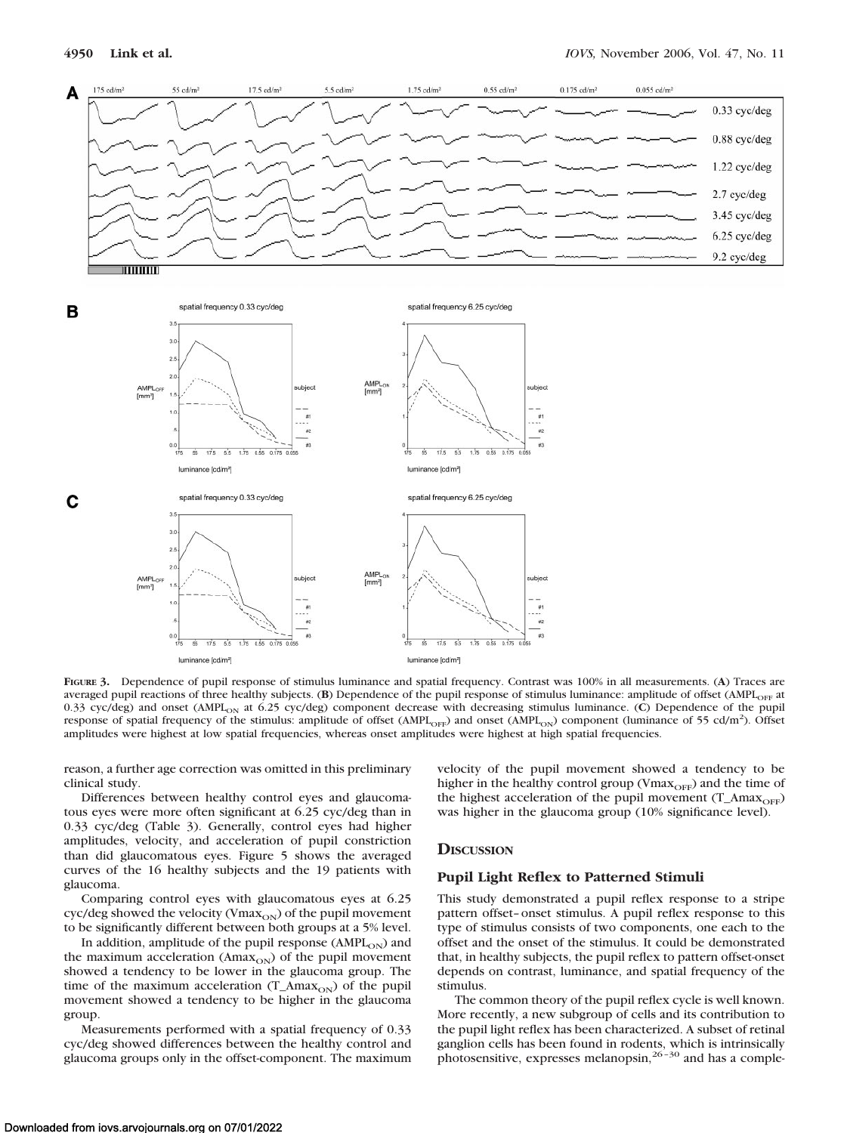

![](_page_3_Figure_3.jpeg)

![](_page_3_Figure_4.jpeg)

**FIGURE 3.** Dependence of pupil response of stimulus luminance and spatial frequency. Contrast was 100% in all measurements. (**A**) Traces are averaged pupil reactions of three healthy subjects. (**B**) Dependence of the pupil response of stimulus luminance: amplitude of offset (AMPL<sub>OFF</sub> at 0.33 cyc/deg) and onset (AMPL<sub>ON</sub> at 6.25 cyc/deg) component decrease with decreasing stimulus luminance. (C) Dependence of the pupil response of spatial frequency of the stimulus: amplitude of offset (AMPL<sub>OFF</sub>) and onset (AMPL<sub>ON</sub>) component (luminance of 55 cd/m<sup>2</sup>). Offset amplitudes were highest at low spatial frequencies, whereas onset amplitudes were highest at high spatial frequencies.

reason, a further age correction was omitted in this preliminary clinical study.

Differences between healthy control eyes and glaucomatous eyes were more often significant at 6.25 cyc/deg than in 0.33 cyc/deg (Table 3). Generally, control eyes had higher amplitudes, velocity, and acceleration of pupil constriction than did glaucomatous eyes. Figure 5 shows the averaged curves of the 16 healthy subjects and the 19 patients with glaucoma.

Comparing control eyes with glaucomatous eyes at 6.25 cyc/deg showed the velocity (Vma $x_{ON}$ ) of the pupil movement to be significantly different between both groups at a 5% level.

In addition, amplitude of the pupil response ( $\text{AMPL}_{ON}$ ) and the maximum acceleration ( $A$ max $_{ON}$ ) of the pupil movement showed a tendency to be lower in the glaucoma group. The time of the maximum acceleration  $(T_A)$  and  $(T_A)$  of the pupil movement showed a tendency to be higher in the glaucoma group.

Measurements performed with a spatial frequency of 0.33 cyc/deg showed differences between the healthy control and glaucoma groups only in the offset-component. The maximum

velocity of the pupil movement showed a tendency to be higher in the healthy control group (Vma $x_{\text{OFF}}$ ) and the time of the highest acceleration of the pupil movement (T\_Amax<sub>OFF</sub>) was higher in the glaucoma group (10% significance level).

## **DISCUSSION**

#### **Pupil Light Reflex to Patterned Stimuli**

This study demonstrated a pupil reflex response to a stripe pattern offset– onset stimulus. A pupil reflex response to this type of stimulus consists of two components, one each to the offset and the onset of the stimulus. It could be demonstrated that, in healthy subjects, the pupil reflex to pattern offset-onset depends on contrast, luminance, and spatial frequency of the stimulus.

The common theory of the pupil reflex cycle is well known. More recently, a new subgroup of cells and its contribution to the pupil light reflex has been characterized. A subset of retinal ganglion cells has been found in rodents, which is intrinsically photosensitive, expresses melanopsin,<sup>26-30</sup> and has a comple-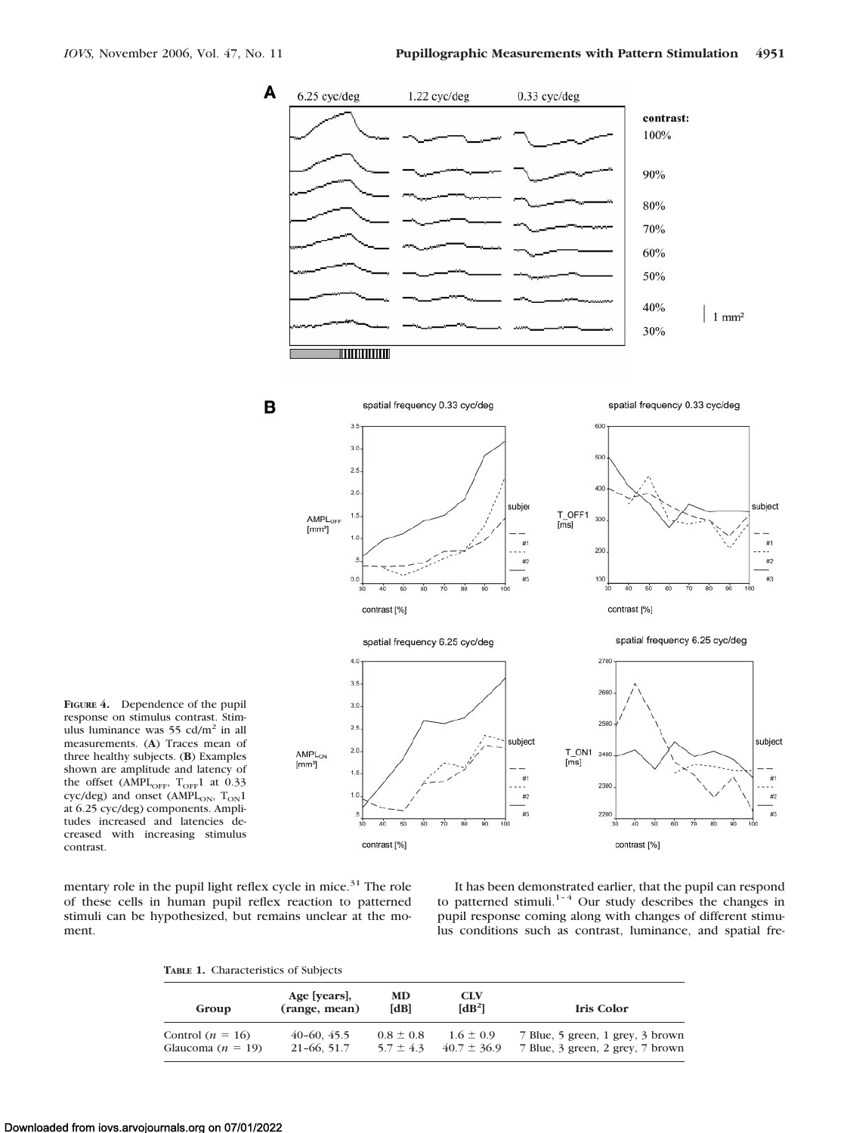![](_page_4_Figure_2.jpeg)

**FIGURE 4.** Dependence of the pupil response on stimulus contrast. Stimulus luminance was  $55 \text{ cd/m}^2$  in all measurements. (**A**) Traces mean of three healthy subjects. (**B**) Examples shown are amplitude and latency of the offset (AMPL<sub>OFF</sub>,  $T_{\text{OFF}}1$  at 0.33 cyc/deg) and onset (AMPL<sub>ON</sub>,  $T_{ON}1$ at 6.25 cyc/deg) components. Amplitudes increased and latencies decreased with increasing stimulus contrast.

mentary role in the pupil light reflex cycle in mice.<sup>31</sup> The role of these cells in human pupil reflex reaction to patterned stimuli can be hypothesized, but remains unclear at the moment.

It has been demonstrated earlier, that the pupil can respond to patterned stimuli.<sup>1–4</sup> Our study describes the changes in pupil response coming along with changes of different stimulus conditions such as contrast, luminance, and spatial fre-

**TABLE 1.** Characteristics of Subjects

| Group                 | Age [years],<br>(range, mean) | MD<br>[dB]    | <b>CLV</b><br>[dB <sup>2</sup> ] | Iris Color                       |
|-----------------------|-------------------------------|---------------|----------------------------------|----------------------------------|
| Control $(n = 16)$    | $40-60, 45.5$                 | $0.8 \pm 0.8$ | $1.6 \pm 0.9$                    | 7 Blue, 5 green, 1 grey, 3 brown |
| Glaucoma ( $n = 19$ ) | $21-66, 51.7$                 | $5.7 \pm 4.3$ | $40.7 \pm 36.9$                  | 7 Blue, 3 green, 2 grey, 7 brown |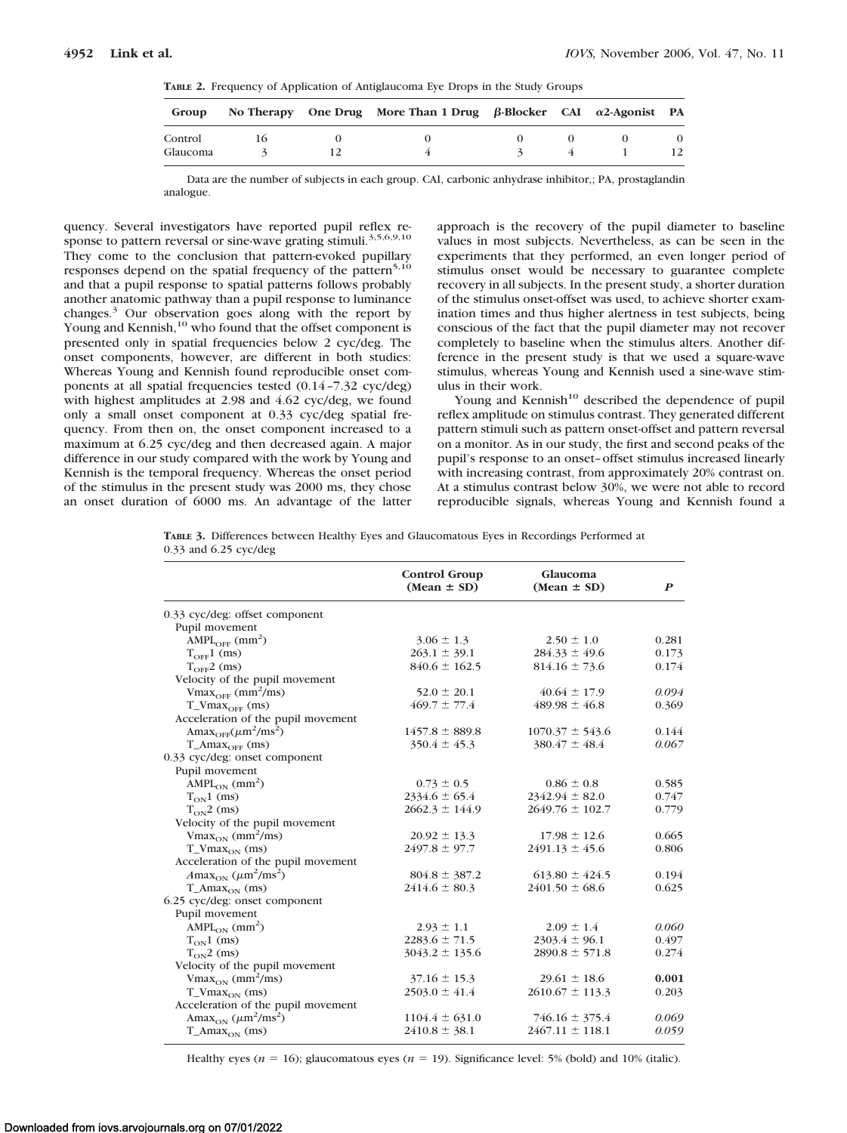**TABLE 2.** Frequency of Application of Antiglaucoma Eye Drops in the Study Groups

| Group    |  | No Therapy One Drug More Than 1 Drug $\beta$ -Blocker CAI $\alpha$ 2-Agonist PA |  |  |
|----------|--|---------------------------------------------------------------------------------|--|--|
| Control  |  |                                                                                 |  |  |
| Glaucoma |  |                                                                                 |  |  |

Data are the number of subjects in each group. CAI, carbonic anhydrase inhibitor,; PA, prostaglandin analogue.

quency. Several investigators have reported pupil reflex response to pattern reversal or sine-wave grating stimuli.<sup>3,5,6,9,10</sup> They come to the conclusion that pattern-evoked pupillary responses depend on the spatial frequency of the pattern<sup>5,10</sup> and that a pupil response to spatial patterns follows probably another anatomic pathway than a pupil response to luminance changes.3 Our observation goes along with the report by Young and Kennish,<sup>10</sup> who found that the offset component is presented only in spatial frequencies below 2 cyc/deg. The onset components, however, are different in both studies: Whereas Young and Kennish found reproducible onset components at all spatial frequencies tested (0.14 –7.32 cyc/deg) with highest amplitudes at 2.98 and 4.62 cyc/deg, we found only a small onset component at 0.33 cyc/deg spatial frequency. From then on, the onset component increased to a maximum at 6.25 cyc/deg and then decreased again. A major difference in our study compared with the work by Young and Kennish is the temporal frequency. Whereas the onset period of the stimulus in the present study was 2000 ms, they chose an onset duration of 6000 ms. An advantage of the latter

approach is the recovery of the pupil diameter to baseline values in most subjects. Nevertheless, as can be seen in the experiments that they performed, an even longer period of stimulus onset would be necessary to guarantee complete recovery in all subjects. In the present study, a shorter duration of the stimulus onset-offset was used, to achieve shorter examination times and thus higher alertness in test subjects, being conscious of the fact that the pupil diameter may not recover completely to baseline when the stimulus alters. Another difference in the present study is that we used a square-wave stimulus, whereas Young and Kennish used a sine-wave stimulus in their work.

Young and Kennish<sup>10</sup> described the dependence of pupil reflex amplitude on stimulus contrast. They generated different pattern stimuli such as pattern onset-offset and pattern reversal on a monitor. As in our study, the first and second peaks of the pupil's response to an onset– offset stimulus increased linearly with increasing contrast, from approximately 20% contrast on. At a stimulus contrast below 30%, we were not able to record reproducible signals, whereas Young and Kennish found a

**TABLE 3.** Differences between Healthy Eyes and Glaucomatous Eyes in Recordings Performed at 0.33 and 6.25 cyc/deg

|                                                                 | Control Group<br>$(Mean \pm SD)$ | Glaucoma<br>$(Mean \pm SD)$ | $\boldsymbol{P}$ |
|-----------------------------------------------------------------|----------------------------------|-----------------------------|------------------|
| 0.33 cyc/deg: offset component                                  |                                  |                             |                  |
| Pupil movement                                                  |                                  |                             |                  |
| $AMPL_{OFF}$ (mm <sup>2</sup> )                                 | $3.06 \pm 1.3$                   | $2.50 \pm 1.0$              | 0.281            |
| $T_{\text{OFF}}1$ (ms)                                          | $263.1 \pm 39.1$                 | $284.33 \pm 49.6$           | 0.173            |
| $T_{\text{OFF}}$ 2 (ms)                                         | $840.6 \pm 162.5$                | $814.16 \pm 73.6$           | 0.174            |
| Velocity of the pupil movement                                  |                                  |                             |                  |
| $Vmax_{OFF}$ (mm <sup>2</sup> /ms)                              | $52.0 \pm 20.1$                  | $40.64 \pm 17.9$            | 0.094            |
| $T_V$ Max $_{OEF}$ (ms)                                         | $469.7 \pm 77.4$                 | $489.98 \pm 46.8$           | 0.369            |
| Acceleration of the pupil movement                              |                                  |                             |                  |
| Ama $x_{\text{OFF}}(\mu m^2/ms^2)$                              | $1457.8 \pm 889.8$               | $1070.37 \pm 543.6$         | 0.144            |
| $T_A$ $max_{OEF}$ (ms)                                          | $350.4 \pm 45.3$                 | $380.47 \pm 48.4$           | 0.067            |
| 0.33 cyc/deg: onset component                                   |                                  |                             |                  |
| Pupil movement                                                  |                                  |                             |                  |
| $AMPL_{ON}$ (mm <sup>2</sup> )                                  | $0.73 \pm 0.5$                   | $0.86 \pm 0.8$              | 0.585            |
| $T_{ON}1$ (ms)                                                  | $2334.6 \pm 65.4$                | $2342.94 \pm 82.0$          | 0.747            |
| $T_{ON}$ 2 (ms)                                                 | $2662.3 \pm 144.9$               | $2649.76 \pm 102.7$         | 0.779            |
| Velocity of the pupil movement                                  |                                  |                             |                  |
| $V$ max <sub>ON</sub> (mm <sup>2</sup> /ms)                     | $20.92 \pm 13.3$                 | $17.98 \pm 12.6$            | 0.665            |
| $T_{\rm{Nmax}_{ON}}$ (ms)                                       | $2497.8 \pm 97.7$                | $2491.13 \pm 45.6$          | 0.806            |
| Acceleration of the pupil movement                              |                                  |                             |                  |
| $A$ max <sub>ON</sub> ( $\mu$ m <sup>2</sup> /ms <sup>2</sup> ) | $804.8 \pm 387.2$                | $613.80 \pm 424.5$          | 0.194            |
| $T_{\_A max_{ON}}$ (ms)                                         | $2414.6 \pm 80.3$                | $2401.50 \pm 68.6$          | 0.625            |
| 6.25 cyc/deg: onset component                                   |                                  |                             |                  |
| Pupil movement                                                  |                                  |                             |                  |
| $AMPL_{ON}$ (mm <sup>2</sup> )                                  | $2.93 \pm 1.1$                   | $2.09 \pm 1.4$              | 0.060            |
| $T_{ON}1$ (ms)                                                  | $2283.6 \pm 71.5$                | $2303.4 \pm 96.1$           | 0.497            |
| $T_{ON}$ 2 (ms)                                                 | $3043.2 \pm 135.6$               | $2890.8 \pm 571.8$          | 0.274            |
| Velocity of the pupil movement                                  |                                  |                             |                  |
| $Vmax_{ON}$ (mm <sup>2</sup> /ms)                               | $37.16 \pm 15.3$                 | $29.61 \pm 18.6$            | 0.001            |
| $T_{\text{N}}$ (ms)                                             | $2503.0 \pm 41.4$                | $2610.67 \pm 113.3$         | 0.203            |
| Acceleration of the pupil movement                              |                                  |                             |                  |
| Amax <sub>ON</sub> $(\mu m^2/ms^2)$                             | $1104.4 \pm 631.0$               | $746.16 \pm 375.4$          | 0.069            |
| $T_{\_Amax_{ON}}$ (ms)                                          | $2410.8 \pm 38.1$                | $2467.11 \pm 118.1$         | 0.059            |

Healthy eyes ( $n = 16$ ); glaucomatous eyes ( $n = 19$ ). Significance level: 5% (bold) and 10% (italic).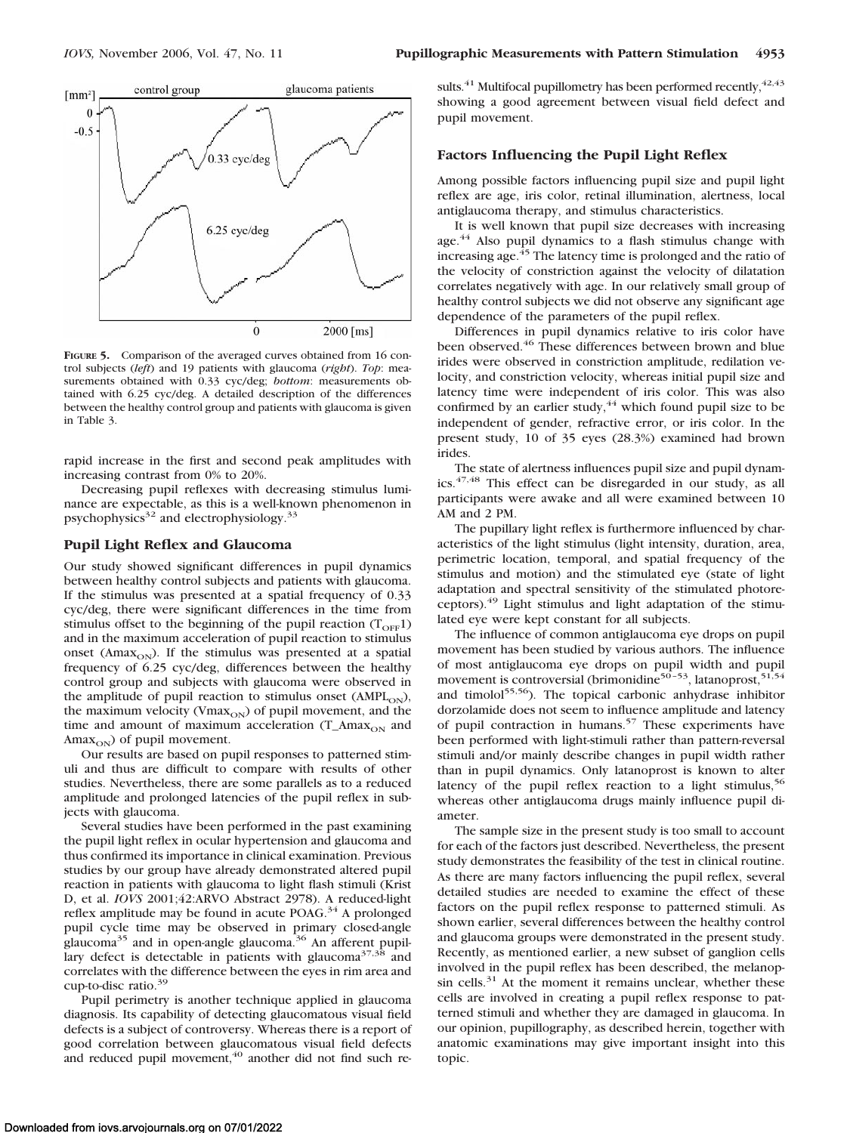![](_page_6_Figure_2.jpeg)

**FIGURE 5.** Comparison of the averaged curves obtained from 16 control subjects (*left*) and 19 patients with glaucoma (*right*). *Top*: measurements obtained with 0.33 cyc/deg; *bottom*: measurements obtained with 6.25 cyc/deg. A detailed description of the differences between the healthy control group and patients with glaucoma is given in Table 3.

rapid increase in the first and second peak amplitudes with increasing contrast from 0% to 20%.

Decreasing pupil reflexes with decreasing stimulus luminance are expectable, as this is a well-known phenomenon in psychophysics $32$  and electrophysiology.<sup>33</sup>

## **Pupil Light Reflex and Glaucoma**

Our study showed significant differences in pupil dynamics between healthy control subjects and patients with glaucoma. If the stimulus was presented at a spatial frequency of 0.33 cyc/deg, there were significant differences in the time from stimulus offset to the beginning of the pupil reaction  $(T<sub>OFF</sub>1)$ and in the maximum acceleration of pupil reaction to stimulus onset ( $Amax_{ON}$ ). If the stimulus was presented at a spatial frequency of 6.25 cyc/deg, differences between the healthy control group and subjects with glaucoma were observed in the amplitude of pupil reaction to stimulus onset ( $AMPL<sub>ON</sub>$ ), the maximum velocity ( $V$ max $_{ON}$ ) of pupil movement, and the time and amount of maximum acceleration  $(T_\text{Amax}_{ON}$  and  $\text{Amax}_{ON}$ ) of pupil movement.

Our results are based on pupil responses to patterned stimuli and thus are difficult to compare with results of other studies. Nevertheless, there are some parallels as to a reduced amplitude and prolonged latencies of the pupil reflex in subjects with glaucoma.

Several studies have been performed in the past examining the pupil light reflex in ocular hypertension and glaucoma and thus confirmed its importance in clinical examination. Previous studies by our group have already demonstrated altered pupil reaction in patients with glaucoma to light flash stimuli (Krist D, et al. *IOVS* 2001;42:ARVO Abstract 2978). A reduced-light reflex amplitude may be found in acute POAG.34 A prolonged pupil cycle time may be observed in primary closed-angle glaucoma<sup>35</sup> and in open-angle glaucoma.<sup>36</sup> An afferent pupillary defect is detectable in patients with glaucoma<sup>37,38</sup> and correlates with the difference between the eyes in rim area and cup-to-disc ratio.<sup>39</sup>

Pupil perimetry is another technique applied in glaucoma diagnosis. Its capability of detecting glaucomatous visual field defects is a subject of controversy. Whereas there is a report of good correlation between glaucomatous visual field defects and reduced pupil movement, $40$  another did not find such re-

sults. $^{41}$  Multifocal pupillometry has been performed recently,  $^{42,43}$ showing a good agreement between visual field defect and pupil movement.

## **Factors Influencing the Pupil Light Reflex**

Among possible factors influencing pupil size and pupil light reflex are age, iris color, retinal illumination, alertness, local antiglaucoma therapy, and stimulus characteristics.

It is well known that pupil size decreases with increasing age.<sup>44</sup> Also pupil dynamics to a flash stimulus change with increasing age.45 The latency time is prolonged and the ratio of the velocity of constriction against the velocity of dilatation correlates negatively with age. In our relatively small group of healthy control subjects we did not observe any significant age dependence of the parameters of the pupil reflex.

Differences in pupil dynamics relative to iris color have been observed.<sup>46</sup> These differences between brown and blue irides were observed in constriction amplitude, redilation velocity, and constriction velocity, whereas initial pupil size and latency time were independent of iris color. This was also confirmed by an earlier study,  $44$  which found pupil size to be independent of gender, refractive error, or iris color. In the present study, 10 of 35 eyes (28.3%) examined had brown irides.

The state of alertness influences pupil size and pupil dynamics.47,48 This effect can be disregarded in our study, as all participants were awake and all were examined between 10 AM and 2 PM.

The pupillary light reflex is furthermore influenced by characteristics of the light stimulus (light intensity, duration, area, perimetric location, temporal, and spatial frequency of the stimulus and motion) and the stimulated eye (state of light adaptation and spectral sensitivity of the stimulated photoreceptors).<sup>49</sup> Light stimulus and light adaptation of the stimulated eye were kept constant for all subjects.

The influence of common antiglaucoma eye drops on pupil movement has been studied by various authors. The influence of most antiglaucoma eye drops on pupil width and pupil movement is controversial (brimonidine $50 - 53$ , latanoprost,  $51,54$ and timolol<sup>55,56</sup>). The topical carbonic anhydrase inhibitor dorzolamide does not seem to influence amplitude and latency of pupil contraction in humans.<sup>57</sup> These experiments have been performed with light-stimuli rather than pattern-reversal stimuli and/or mainly describe changes in pupil width rather than in pupil dynamics. Only latanoprost is known to alter latency of the pupil reflex reaction to a light stimulus,  $56$ whereas other antiglaucoma drugs mainly influence pupil diameter.

The sample size in the present study is too small to account for each of the factors just described. Nevertheless, the present study demonstrates the feasibility of the test in clinical routine. As there are many factors influencing the pupil reflex, several detailed studies are needed to examine the effect of these factors on the pupil reflex response to patterned stimuli. As shown earlier, several differences between the healthy control and glaucoma groups were demonstrated in the present study. Recently, as mentioned earlier, a new subset of ganglion cells involved in the pupil reflex has been described, the melanopsin cells. $31$  At the moment it remains unclear, whether these cells are involved in creating a pupil reflex response to patterned stimuli and whether they are damaged in glaucoma. In our opinion, pupillography, as described herein, together with anatomic examinations may give important insight into this topic.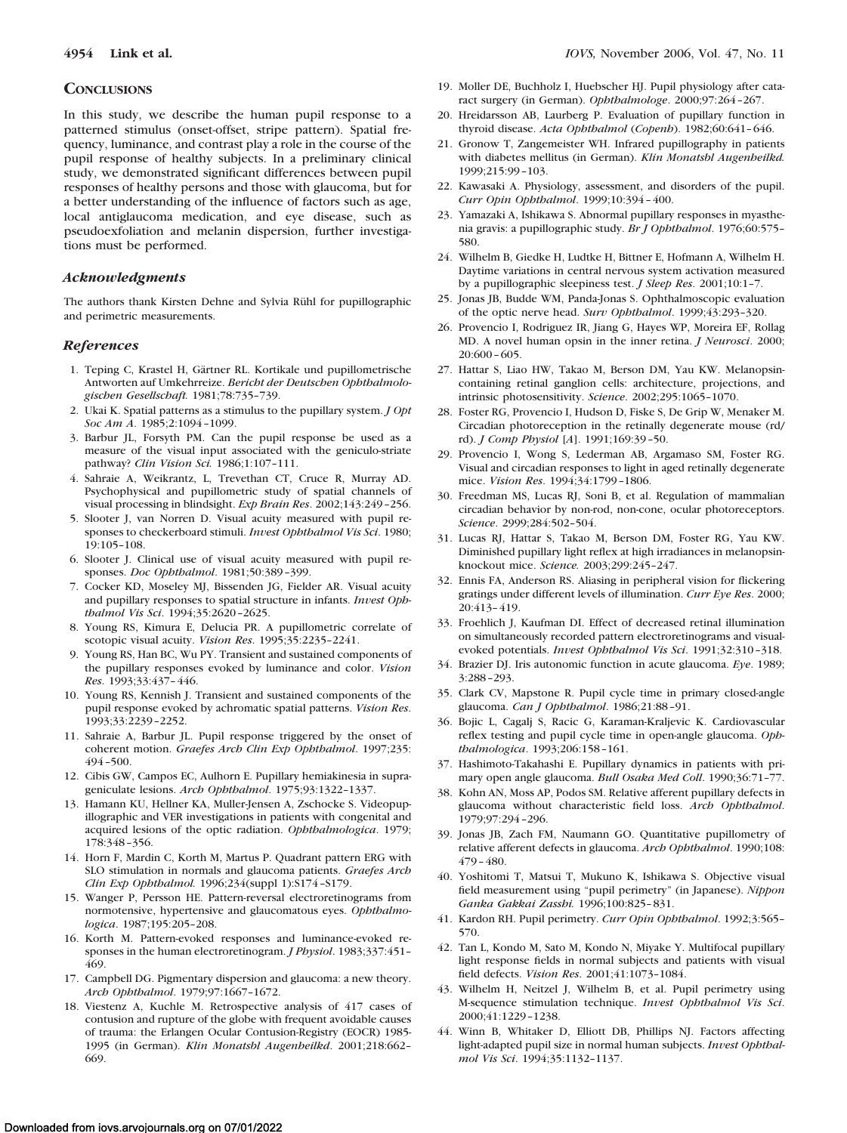#### **CONCLUSIONS**

In this study, we describe the human pupil response to a patterned stimulus (onset-offset, stripe pattern). Spatial frequency, luminance, and contrast play a role in the course of the pupil response of healthy subjects. In a preliminary clinical study, we demonstrated significant differences between pupil responses of healthy persons and those with glaucoma, but for a better understanding of the influence of factors such as age, local antiglaucoma medication, and eye disease, such as pseudoexfoliation and melanin dispersion, further investigations must be performed.

#### *Acknowledgments*

The authors thank Kirsten Dehne and Sylvia Rühl for pupillographic and perimetric measurements.

#### *References*

- 1. Teping C, Krastel H, Gärtner RL. Kortikale und pupillometrische Antworten auf Umkehrreize. *Bericht der Deutschen Ophthalmologischen Gesellschaft.* 1981;78:735–739.
- 2. Ukai K. Spatial patterns as a stimulus to the pupillary system. *J Opt Soc Am A*. 1985;2:1094 –1099.
- 3. Barbur JL, Forsyth PM. Can the pupil response be used as a measure of the visual input associated with the geniculo-striate pathway? *Clin Vision Sci.* 1986;1:107–111.
- 4. Sahraie A, Weikrantz, L, Trevethan CT, Cruce R, Murray AD. Psychophysical and pupillometric study of spatial channels of visual processing in blindsight. *Exp Brain Res*. 2002;143:249 –256.
- 5. Slooter J, van Norren D. Visual acuity measured with pupil responses to checkerboard stimuli. *Invest Ophthalmol Vis Sci*. 1980; 19:105–108.
- 6. Slooter J. Clinical use of visual acuity measured with pupil responses. *Doc Ophthalmol*. 1981;50:389 –399.
- 7. Cocker KD, Moseley MJ, Bissenden JG, Fielder AR. Visual acuity and pupillary responses to spatial structure in infants. *Invest Ophthalmol Vis Sci*. 1994;35:2620 –2625.
- 8. Young RS, Kimura E, Delucia PR. A pupillometric correlate of scotopic visual acuity. *Vision Res*. 1995;35:2235–2241.
- 9. Young RS, Han BC, Wu PY. Transient and sustained components of the pupillary responses evoked by luminance and color. *Vision Res*. 1993;33:437– 446.
- 10. Young RS, Kennish J. Transient and sustained components of the pupil response evoked by achromatic spatial patterns. *Vision Res*. 1993;33:2239 –2252.
- 11. Sahraie A, Barbur JL. Pupil response triggered by the onset of coherent motion. *Graefes Arch Clin Exp Ophthalmol*. 1997;235: 494 –500.
- 12. Cibis GW, Campos EC, Aulhorn E. Pupillary hemiakinesia in suprageniculate lesions. *Arch Ophthalmol*. 1975;93:1322–1337.
- 13. Hamann KU, Hellner KA, Muller-Jensen A, Zschocke S. Videopupillographic and VER investigations in patients with congenital and acquired lesions of the optic radiation. *Ophthalmologica*. 1979; 178:348 –356.
- 14. Horn F, Mardin C, Korth M, Martus P. Quadrant pattern ERG with SLO stimulation in normals and glaucoma patients. *Graefes Arch Clin Exp Ophthalmol.* 1996;234(suppl 1):S174 –S179.
- 15. Wanger P, Persson HE. Pattern-reversal electroretinograms from normotensive, hypertensive and glaucomatous eyes. *Ophthalmologica*. 1987;195:205–208.
- 16. Korth M. Pattern-evoked responses and luminance-evoked responses in the human electroretinogram. *J Physiol*. 1983;337:451– 469.
- 17. Campbell DG. Pigmentary dispersion and glaucoma: a new theory. *Arch Ophthalmol*. 1979;97:1667–1672.
- 18. Viestenz A, Kuchle M. Retrospective analysis of 417 cases of contusion and rupture of the globe with frequent avoidable causes of trauma: the Erlangen Ocular Contusion-Registry (EOCR) 1985- 1995 (in German). *Klin Monatsbl Augenheilkd*. 2001;218:662– 669.
- 19. Moller DE, Buchholz I, Huebscher HJ. Pupil physiology after cataract surgery (in German). *Ophthalmologe*. 2000;97:264 –267.
- 20. Hreidarsson AB, Laurberg P. Evaluation of pupillary function in thyroid disease. *Acta Ophthalmol* (*Copenh*). 1982;60:641– 646.
- 21. Gronow T, Zangemeister WH. Infrared pupillography in patients with diabetes mellitus (in German). *Klin Monatsbl Augenheilkd.* 1999;215:99 –103.
- 22. Kawasaki A. Physiology, assessment, and disorders of the pupil. *Curr Opin Ophthalmol*. 1999;10:394 – 400.
- 23. Yamazaki A, Ishikawa S. Abnormal pupillary responses in myasthenia gravis: a pupillographic study. *Br J Ophthalmol*. 1976;60:575– 580.
- 24. Wilhelm B, Giedke H, Ludtke H, Bittner E, Hofmann A, Wilhelm H. Daytime variations in central nervous system activation measured by a pupillographic sleepiness test. *J Sleep Res*. 2001;10:1–7.
- 25. Jonas JB, Budde WM, Panda-Jonas S. Ophthalmoscopic evaluation of the optic nerve head. *Surv Ophthalmol*. 1999;43:293–320.
- 26. Provencio I, Rodriguez IR, Jiang G, Hayes WP, Moreira EF, Rollag MD. A novel human opsin in the inner retina. *J Neurosci*. 2000; 20:600 – 605.
- 27. Hattar S, Liao HW, Takao M, Berson DM, Yau KW. Melanopsincontaining retinal ganglion cells: architecture, projections, and intrinsic photosensitivity. *Science*. 2002;295:1065–1070.
- 28. Foster RG, Provencio I, Hudson D, Fiske S, De Grip W, Menaker M. Circadian photoreception in the retinally degenerate mouse (rd/ rd). *J Comp Physiol* [*A*]. 1991;169:39 –50.
- 29. Provencio I, Wong S, Lederman AB, Argamaso SM, Foster RG. Visual and circadian responses to light in aged retinally degenerate mice. *Vision Res*. 1994;34:1799 –1806.
- 30. Freedman MS, Lucas RJ, Soni B, et al. Regulation of mammalian circadian behavior by non-rod, non-cone, ocular photoreceptors. *Science*. 2999;284:502–504.
- 31. Lucas RJ, Hattar S, Takao M, Berson DM, Foster RG, Yau KW. Diminished pupillary light reflex at high irradiances in melanopsinknockout mice. *Science.* 2003;299:245–247.
- 32. Ennis FA, Anderson RS. Aliasing in peripheral vision for flickering gratings under different levels of illumination. *Curr Eye Res*. 2000; 20:413– 419.
- 33. Froehlich J, Kaufman DI. Effect of decreased retinal illumination on simultaneously recorded pattern electroretinograms and visualevoked potentials. *Invest Ophthalmol Vis Sci*. 1991;32:310 –318.
- 34. Brazier DJ. Iris autonomic function in acute glaucoma. *Eye*. 1989; 3:288 –293.
- 35. Clark CV, Mapstone R. Pupil cycle time in primary closed-angle glaucoma. *Can J Ophthalmol*. 1986;21:88 –91.
- 36. Bojic L, Cagalj S, Racic G, Karaman-Kraljevic K. Cardiovascular reflex testing and pupil cycle time in open-angle glaucoma. *Ophthalmologica*. 1993;206:158 –161.
- 37. Hashimoto-Takahashi E. Pupillary dynamics in patients with primary open angle glaucoma. *Bull Osaka Med Coll*. 1990;36:71–77.
- 38. Kohn AN, Moss AP, Podos SM. Relative afferent pupillary defects in glaucoma without characteristic field loss. *Arch Ophthalmol*. 1979;97:294 –296.
- 39. Jonas JB, Zach FM, Naumann GO. Quantitative pupillometry of relative afferent defects in glaucoma. *Arch Ophthalmol*. 1990;108: 479 – 480.
- 40. Yoshitomi T, Matsui T, Mukuno K, Ishikawa S. Objective visual field measurement using "pupil perimetry" (in Japanese). *Nippon Ganka Gakkai Zasshi.* 1996;100:825– 831.
- 41. Kardon RH. Pupil perimetry. *Curr Opin Ophthalmol*. 1992;3:565– 570.
- 42. Tan L, Kondo M, Sato M, Kondo N, Miyake Y. Multifocal pupillary light response fields in normal subjects and patients with visual field defects. *Vision Res*. 2001;41:1073–1084.
- 43. Wilhelm H, Neitzel J, Wilhelm B, et al. Pupil perimetry using M-sequence stimulation technique. *Invest Ophthalmol Vis Sci*. 2000;41:1229 –1238.
- 44. Winn B, Whitaker D, Elliott DB, Phillips NJ. Factors affecting light-adapted pupil size in normal human subjects. *Invest Ophthalmol Vis Sci*. 1994;35:1132–1137.